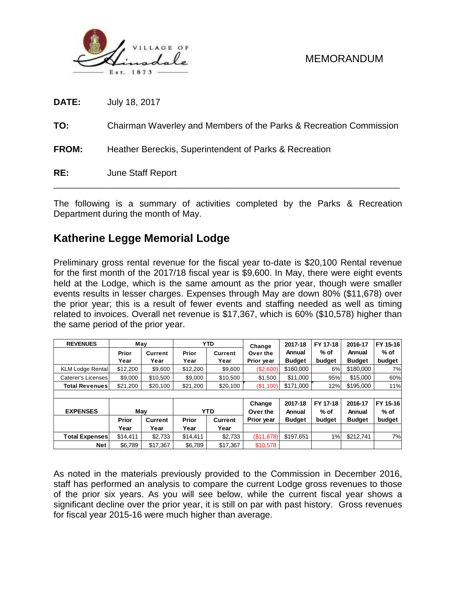

**DATE:** July 18, 2017

**TO:** Chairman Waverley and Members of the Parks & Recreation Commission

**FROM:** Heather Bereckis, Superintendent of Parks & Recreation

**RE:** June Staff Report

The following is a summary of activities completed by the Parks & Recreation Department during the month of May.

\_\_\_\_\_\_\_\_\_\_\_\_\_\_\_\_\_\_\_\_\_\_\_\_\_\_\_\_\_\_\_\_\_\_\_\_\_\_\_\_\_\_\_\_\_\_\_\_\_\_\_\_\_\_\_\_\_\_\_\_\_\_\_\_\_\_\_\_\_\_\_\_\_\_\_\_

# **Katherine Legge Memorial Lodge**

Preliminary gross rental revenue for the fiscal year to-date is \$20,100 Rental revenue for the first month of the 2017/18 fiscal year is \$9,600. In May, there were eight events held at the Lodge, which is the same amount as the prior year, though were smaller events results in lesser charges. Expenses through May are down 80% (\$11,678) over the prior year; this is a result of fewer events and staffing needed as well as timing related to invoices. Overall net revenue is \$17,367, which is 60% (\$10,578) higher than the same period of the prior year.

| <b>REVENUES</b>         | May      |                |              | <b>YTD</b>     | Change     | 2017-18       | FY 17-18 | 2016-17       | FY 15-16 |  |
|-------------------------|----------|----------------|--------------|----------------|------------|---------------|----------|---------------|----------|--|
|                         | Prior    | <b>Current</b> | Prior        | Current        | Over the   | Annual        | % of     | Annual        | % of     |  |
|                         | Year     | Year           | Year         | Year           | Prior year | <b>Budget</b> | budget   | <b>Budget</b> | budget   |  |
| <b>KLM Lodge Rental</b> | \$12,200 | \$9,600        | \$12,200     | \$9,600        | (\$2,600)  | \$160,000     | 6%       | \$180,000     | 7%       |  |
| Caterer's Licenses      | \$9,000  | \$10,500       | \$9,000      | \$10,500       | \$1,500    | \$11,000      | 95%      | \$15,000      | 60%      |  |
| <b>Total Revenues</b>   | \$21,200 | \$20,100       | \$21,200     | \$20,100       | (\$1,100)  | \$171,000     | 12%      | \$195,000     | 11%      |  |
|                         |          |                |              |                |            |               |          |               |          |  |
|                         |          |                |              |                | Change     | 2017-18       | FY 17-18 | 2016-17       | FY 15-16 |  |
| <b>EXPENSES</b>         |          | May            |              | <b>YTD</b>     | Over the   | Annual        | $%$ of   | Annual        | % of     |  |
|                         | Prior    | Current        | <b>Prior</b> | <b>Current</b> | Prior year | <b>Budget</b> | budget   | <b>Budget</b> | budget   |  |
|                         | Year     | Year           | Year         | Year           |            |               |          |               |          |  |
| <b>Total Expenses</b>   | \$14.411 | \$2,733        | \$14.411     | \$2,733        | (\$11,678) | \$197,651     | 1%       | \$212.741     | 7%       |  |
| Net                     | \$6,789  | \$17,367       | \$6,789      | \$17,367       | \$10,578   |               |          |               |          |  |

As noted in the materials previously provided to the Commission in December 2016, staff has performed an analysis to compare the current Lodge gross revenues to those of the prior six years. As you will see below, while the current fiscal year shows a significant decline over the prior year, it is still on par with past history. Gross revenues for fiscal year 2015-16 were much higher than average.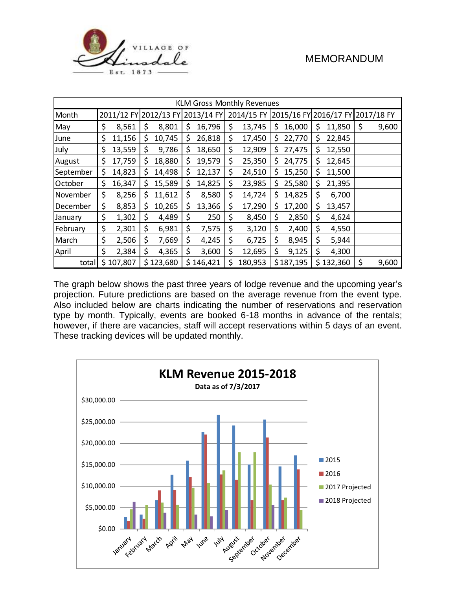

| <b>KLM Gross Monthly Revenues</b> |    |           |    |           |                                  |           |                                             |         |     |           |     |           |             |
|-----------------------------------|----|-----------|----|-----------|----------------------------------|-----------|---------------------------------------------|---------|-----|-----------|-----|-----------|-------------|
| Month                             |    |           |    |           | 2011/12 FY 2012/13 FY 2013/14 FY |           | 2014/15 FY 2015/16 FY 2016/17 FY 2017/18 FY |         |     |           |     |           |             |
| May                               | \$ | 8,561     | \$ | 8,801     | \$                               | 16,796    | \$                                          | 13,745  | \$  | 16,000    | \$  | 11,850    | \$<br>9,600 |
| June                              | \$ | 11,156    | \$ | 10,745    | \$                               | 26,818    | \$                                          | 17,450  | \$  | 22,770    | \$  | 22,845    |             |
| July                              | \$ | 13,559    | \$ | 9,786     | Ş.                               | 18,650    | \$                                          | 12,909  | \$. | 27,475    | Ş   | 12,550    |             |
| August                            | \$ | 17,759    | \$ | 18,880    | \$.                              | 19,579    | \$                                          | 25,350  | Ş   | 24,775    | \$. | 12,645    |             |
| September                         | \$ | 14,823    | \$ | 14,498    | \$                               | 12,137    | \$                                          | 24,510  | \$. | 15,250    | \$  | 11,500    |             |
| October                           | \$ | 16,347    | \$ | 15,589    | \$                               | 14,825    | \$                                          | 23,985  | \$  | 25,580    | \$  | 21,395    |             |
| November                          | \$ | 8,256     | \$ | 11,612    | \$                               | 8,580     | \$                                          | 14,724  | \$  | 14,825    | \$  | 6,700     |             |
| December                          | \$ | 8,853     | \$ | 10,265    | \$                               | 13,366    | \$                                          | 17,290  | \$  | 17,200    | \$  | 13,457    |             |
| January                           | \$ | 1,302     | \$ | 4,489     | \$                               | 250       | \$                                          | 8,450   | \$  | 2,850     | \$  | 4,624     |             |
| February                          | \$ | 2,301     | \$ | 6,981     | \$                               | 7,575     | \$                                          | 3,120   | \$  | 2,400     | \$  | 4,550     |             |
| March                             | \$ | 2,506     | \$ | 7,669     | \$                               | 4,245     | \$                                          | 6,725   | \$  | 8,945     | \$  | 5,944     |             |
| April                             | \$ | 2,384     | \$ | 4,365     | \$                               | 3,600     | \$                                          | 12,695  | \$  | 9,125     | \$  | 4,300     |             |
| totall                            |    | \$107,807 |    | \$123,680 |                                  | \$146,421 | \$                                          | 180,953 |     | \$187,195 |     | \$132,360 | \$<br>9,600 |

The graph below shows the past three years of lodge revenue and the upcoming year's projection. Future predictions are based on the average revenue from the event type. Also included below are charts indicating the number of reservations and reservation type by month. Typically, events are booked 6-18 months in advance of the rentals; however, if there are vacancies, staff will accept reservations within 5 days of an event. These tracking devices will be updated monthly.

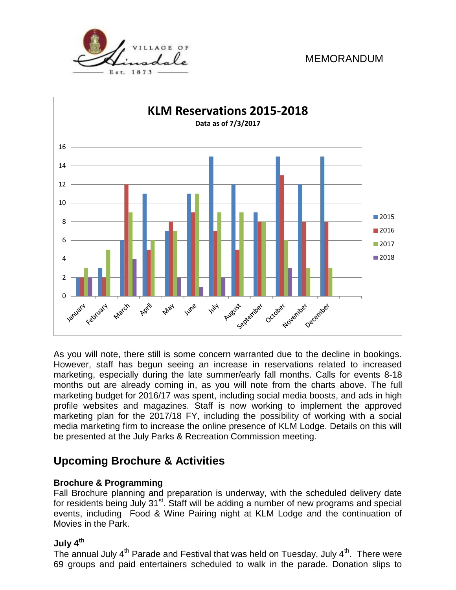



As you will note, there still is some concern warranted due to the decline in bookings. However, staff has begun seeing an increase in reservations related to increased marketing, especially during the late summer/early fall months. Calls for events 8-18 months out are already coming in, as you will note from the charts above. The full marketing budget for 2016/17 was spent, including social media boosts, and ads in high profile websites and magazines. Staff is now working to implement the approved marketing plan for the 2017/18 FY, including the possibility of working with a social media marketing firm to increase the online presence of KLM Lodge. Details on this will be presented at the July Parks & Recreation Commission meeting.

### **Upcoming Brochure & Activities**

#### **Brochure & Programming**

Fall Brochure planning and preparation is underway, with the scheduled delivery date for residents being July 31<sup>st</sup>. Staff will be adding a number of new programs and special events, including Food & Wine Pairing night at KLM Lodge and the continuation of Movies in the Park.

#### **July 4th**

The annual July  $4<sup>th</sup>$  Parade and Festival that was held on Tuesday, July  $4<sup>th</sup>$ . There were 69 groups and paid entertainers scheduled to walk in the parade. Donation slips to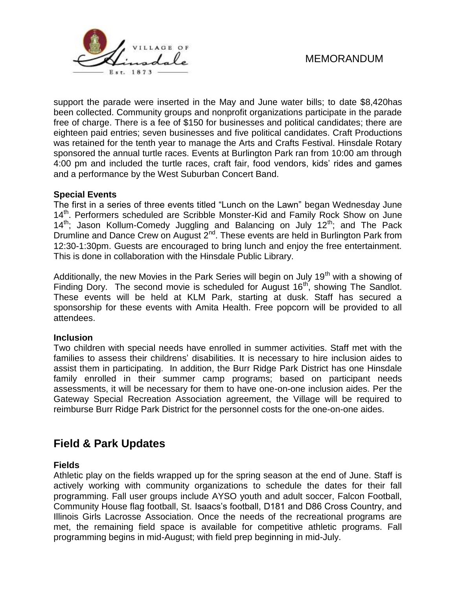

support the parade were inserted in the May and June water bills; to date \$8,420has been collected. Community groups and nonprofit organizations participate in the parade free of charge. There is a fee of \$150 for businesses and political candidates; there are eighteen paid entries; seven businesses and five political candidates. Craft Productions was retained for the tenth year to manage the Arts and Crafts Festival. Hinsdale Rotary sponsored the annual turtle races. Events at Burlington Park ran from 10:00 am through 4:00 pm and included the turtle races, craft fair, food vendors, kids' rides and games and a performance by the West Suburban Concert Band.

#### **Special Events**

The first in a series of three events titled "Lunch on the Lawn" began Wednesday June 14<sup>th</sup>. Performers scheduled are Scribble Monster-Kid and Family Rock Show on June  $14<sup>th</sup>$ ; Jason Kollum-Comedy Juggling and Balancing on July  $12<sup>th</sup>$ ; and The Pack Drumline and Dance Crew on August 2<sup>nd</sup>. These events are held in Burlington Park from 12:30-1:30pm. Guests are encouraged to bring lunch and enjoy the free entertainment. This is done in collaboration with the Hinsdale Public Library.

Additionally, the new Movies in the Park Series will begin on July 19<sup>th</sup> with a showing of Finding Dory. The second movie is scheduled for August  $16<sup>th</sup>$ , showing The Sandlot. These events will be held at KLM Park, starting at dusk. Staff has secured a sponsorship for these events with Amita Health. Free popcorn will be provided to all attendees.

#### **Inclusion**

Two children with special needs have enrolled in summer activities. Staff met with the families to assess their childrens' disabilities. It is necessary to hire inclusion aides to assist them in participating. In addition, the Burr Ridge Park District has one Hinsdale family enrolled in their summer camp programs; based on participant needs assessments, it will be necessary for them to have one-on-one inclusion aides. Per the Gateway Special Recreation Association agreement, the Village will be required to reimburse Burr Ridge Park District for the personnel costs for the one-on-one aides.

### **Field & Park Updates**

#### **Fields**

Athletic play on the fields wrapped up for the spring season at the end of June. Staff is actively working with community organizations to schedule the dates for their fall programming. Fall user groups include AYSO youth and adult soccer, Falcon Football, Community House flag football, St. Isaacs's football, D181 and D86 Cross Country, and Illinois Girls Lacrosse Association. Once the needs of the recreational programs are met, the remaining field space is available for competitive athletic programs. Fall programming begins in mid-August; with field prep beginning in mid-July.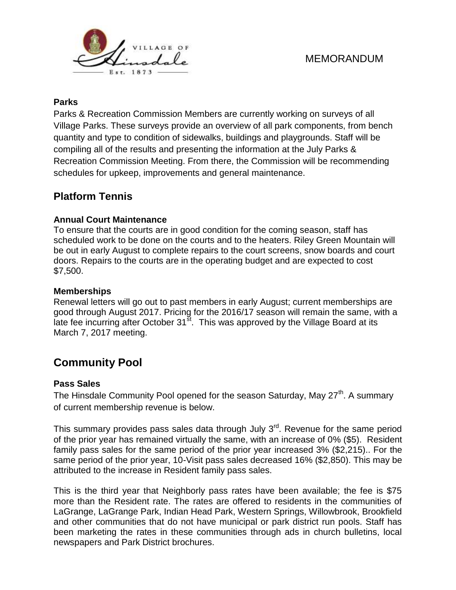

### **Parks**

Parks & Recreation Commission Members are currently working on surveys of all Village Parks. These surveys provide an overview of all park components, from bench quantity and type to condition of sidewalks, buildings and playgrounds. Staff will be compiling all of the results and presenting the information at the July Parks & Recreation Commission Meeting. From there, the Commission will be recommending schedules for upkeep, improvements and general maintenance.

## **Platform Tennis**

### **Annual Court Maintenance**

To ensure that the courts are in good condition for the coming season, staff has scheduled work to be done on the courts and to the heaters. Riley Green Mountain will be out in early August to complete repairs to the court screens, snow boards and court doors. Repairs to the courts are in the operating budget and are expected to cost \$7,500.

### **Memberships**

Renewal letters will go out to past members in early August; current memberships are good through August 2017. Pricing for the 2016/17 season will remain the same, with a late fee incurring after October  $31<sup>st</sup>$ . This was approved by the Village Board at its March 7, 2017 meeting.

# **Community Pool**

#### **Pass Sales**

The Hinsdale Community Pool opened for the season Saturday, May 27<sup>th</sup>. A summary of current membership revenue is below.

This summary provides pass sales data through July  $3<sup>rd</sup>$ . Revenue for the same period of the prior year has remained virtually the same, with an increase of 0% (\$5). Resident family pass sales for the same period of the prior year increased 3% (\$2,215).. For the same period of the prior year, 10-Visit pass sales decreased 16% (\$2,850). This may be attributed to the increase in Resident family pass sales.

This is the third year that Neighborly pass rates have been available; the fee is \$75 more than the Resident rate. The rates are offered to residents in the communities of LaGrange, LaGrange Park, Indian Head Park, Western Springs, Willowbrook, Brookfield and other communities that do not have municipal or park district run pools. Staff has been marketing the rates in these communities through ads in church bulletins, local newspapers and Park District brochures.